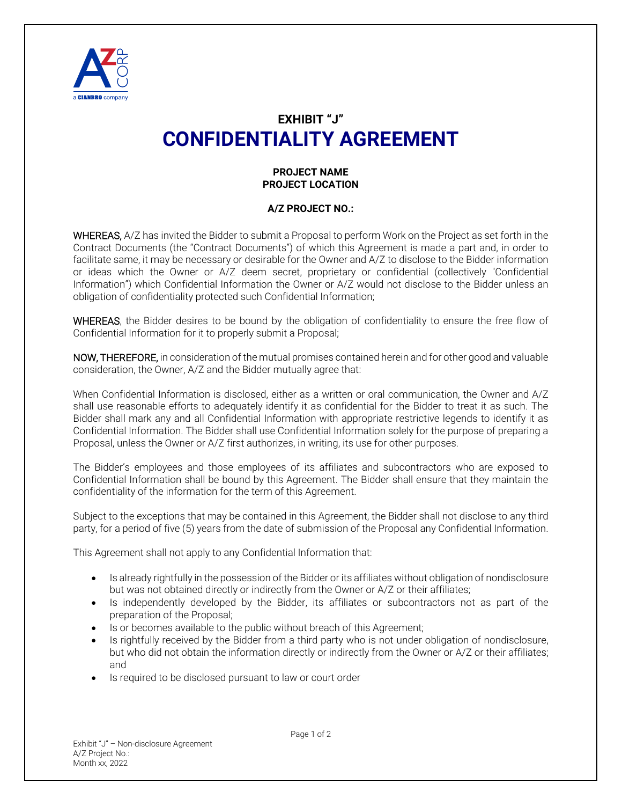

## **EXHIBIT "J" CONFIDENTIALITY AGREEMENT**

## **PROJECT NAME PROJECT LOCATION**

## **A/Z PROJECT NO.:**

WHEREAS, A/Z has invited the Bidder to submit a Proposal to perform Work on the Project as set forth in the Contract Documents (the "Contract Documents") of which this Agreement is made a part and, in order to facilitate same, it may be necessary or desirable for the Owner and A/Z to disclose to the Bidder information or ideas which the Owner or A/Z deem secret, proprietary or confidential (collectively "Confidential Information") which Confidential Information the Owner or A/Z would not disclose to the Bidder unless an obligation of confidentiality protected such Confidential Information;

WHEREAS, the Bidder desires to be bound by the obligation of confidentiality to ensure the free flow of Confidential Information for it to properly submit a Proposal;

NOW, THEREFORE, in consideration of the mutual promises contained herein and for other good and valuable consideration, the Owner, A/Z and the Bidder mutually agree that:

When Confidential Information is disclosed, either as a written or oral communication, the Owner and A/Z shall use reasonable efforts to adequately identify it as confidential for the Bidder to treat it as such. The Bidder shall mark any and all Confidential Information with appropriate restrictive legends to identify it as Confidential Information. The Bidder shall use Confidential Information solely for the purpose of preparing a Proposal, unless the Owner or A/Z first authorizes, in writing, its use for other purposes.

The Bidder's employees and those employees of its affiliates and subcontractors who are exposed to Confidential Information shall be bound by this Agreement. The Bidder shall ensure that they maintain the confidentiality of the information for the term of this Agreement.

Subject to the exceptions that may be contained in this Agreement, the Bidder shall not disclose to any third party, for a period of five (5) years from the date of submission of the Proposal any Confidential Information.

This Agreement shall not apply to any Confidential Information that:

- Is already rightfully in the possession of the Bidder or its affiliates without obligation of nondisclosure but was not obtained directly or indirectly from the Owner or A/Z or their affiliates;
- Is independently developed by the Bidder, its affiliates or subcontractors not as part of the preparation of the Proposal;
- Is or becomes available to the public without breach of this Agreement;
- Is rightfully received by the Bidder from a third party who is not under obligation of nondisclosure, but who did not obtain the information directly or indirectly from the Owner or A/Z or their affiliates; and
- Is required to be disclosed pursuant to law or court order